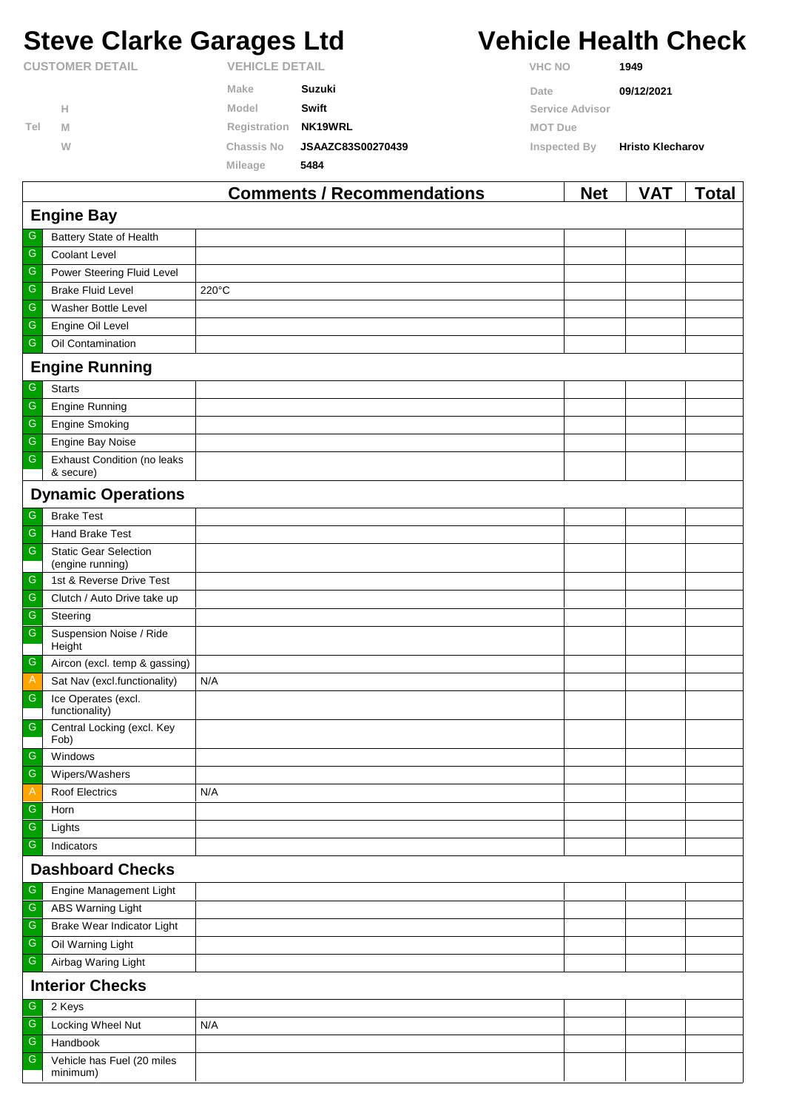# **Steve Clarke Garages Ltd Vehicle Health Check**

|                        |   |                   | <b>Comments / Recommendations</b> |                | <b>Net</b>      | <b>VAT</b>              | Гоtal |
|------------------------|---|-------------------|-----------------------------------|----------------|-----------------|-------------------------|-------|
|                        |   | Mileage           | 5484                              |                |                 |                         |       |
|                        | W | <b>Chassis No</b> | <b>JSAAZC83S00270439</b>          | Inspected By   |                 | <b>Hristo Klecharov</b> |       |
| Tel                    | M | Registration      | NK19WRL                           | <b>MOT Due</b> |                 |                         |       |
|                        | н | Model             | Swift                             |                | Service Advisor |                         |       |
|                        |   | Make              | Suzuki                            | Date           |                 | 09/12/2021              |       |
| <b>CUSTOMER DETAIL</b> |   |                   | <b>VEHICLE DETAIL</b>             |                | <b>VHC NO</b>   | 1949                    |       |

| <b>Engine Bay</b>                                                     |                                                  |       |  |  |  |  |  |
|-----------------------------------------------------------------------|--------------------------------------------------|-------|--|--|--|--|--|
| ${\mathbb G}$                                                         | <b>Battery State of Health</b>                   |       |  |  |  |  |  |
| G                                                                     | Coolant Level                                    |       |  |  |  |  |  |
| $\mathsf G$                                                           | Power Steering Fluid Level                       |       |  |  |  |  |  |
| G                                                                     | <b>Brake Fluid Level</b>                         | 220°C |  |  |  |  |  |
| G                                                                     | Washer Bottle Level                              |       |  |  |  |  |  |
| G                                                                     | Engine Oil Level                                 |       |  |  |  |  |  |
| ${\mathsf G}$                                                         | Oil Contamination                                |       |  |  |  |  |  |
|                                                                       | <b>Engine Running</b>                            |       |  |  |  |  |  |
| ${\mathbb G}$                                                         | <b>Starts</b>                                    |       |  |  |  |  |  |
| ${\mathsf G}$                                                         | <b>Engine Running</b>                            |       |  |  |  |  |  |
| ${\mathsf G}$                                                         | <b>Engine Smoking</b>                            |       |  |  |  |  |  |
| G                                                                     | Engine Bay Noise                                 |       |  |  |  |  |  |
| ${\mathsf G}$                                                         | <b>Exhaust Condition (no leaks</b><br>& secure)  |       |  |  |  |  |  |
|                                                                       | <b>Dynamic Operations</b>                        |       |  |  |  |  |  |
| ${\mathsf G}$                                                         | <b>Brake Test</b>                                |       |  |  |  |  |  |
| ${\mathbb G}$                                                         | Hand Brake Test                                  |       |  |  |  |  |  |
| ${\mathsf G}$                                                         | <b>Static Gear Selection</b><br>(engine running) |       |  |  |  |  |  |
| G                                                                     | 1st & Reverse Drive Test                         |       |  |  |  |  |  |
| ${\mathsf G}$                                                         | Clutch / Auto Drive take up                      |       |  |  |  |  |  |
| G                                                                     | Steering                                         |       |  |  |  |  |  |
| ${\mathsf G}$                                                         | Suspension Noise / Ride                          |       |  |  |  |  |  |
|                                                                       | Height                                           |       |  |  |  |  |  |
| G                                                                     | Aircon (excl. temp & gassing)                    |       |  |  |  |  |  |
| $\mathcal{A}_{\mathcal{A}}$                                           | Sat Nav (excl.functionality)                     | N/A   |  |  |  |  |  |
| ${\mathsf G}$                                                         | Ice Operates (excl.<br>functionality)            |       |  |  |  |  |  |
| $\mathsf{G}$                                                          | Central Locking (excl. Key<br>Fob)               |       |  |  |  |  |  |
| $\mathsf G$                                                           | Windows                                          |       |  |  |  |  |  |
| G                                                                     | Wipers/Washers                                   |       |  |  |  |  |  |
| $\mathsf{A}% _{\mathsf{A}}^{\prime}=\mathsf{A}_{\mathsf{A}}^{\prime}$ | Roof Electrics                                   | N/A   |  |  |  |  |  |
| $\mathsf G$                                                           | Horn                                             |       |  |  |  |  |  |
| ${\mathsf G}$                                                         | Lights                                           |       |  |  |  |  |  |
| G                                                                     | Indicators                                       |       |  |  |  |  |  |
| <b>Dashboard Checks</b>                                               |                                                  |       |  |  |  |  |  |
| ${\mathbb G}$                                                         | Engine Management Light                          |       |  |  |  |  |  |
| G                                                                     | ABS Warning Light                                |       |  |  |  |  |  |
| ${\mathsf G}$                                                         | Brake Wear Indicator Light                       |       |  |  |  |  |  |
| G                                                                     | Oil Warning Light                                |       |  |  |  |  |  |
| ${\mathsf G}$                                                         | Airbag Waring Light                              |       |  |  |  |  |  |
| <b>Interior Checks</b>                                                |                                                  |       |  |  |  |  |  |
| G                                                                     | 2 Keys                                           |       |  |  |  |  |  |
| ${\mathbb G}$                                                         | Locking Wheel Nut                                | N/A   |  |  |  |  |  |
| G                                                                     | Handbook                                         |       |  |  |  |  |  |
| ${\mathsf G}$                                                         | Vehicle has Fuel (20 miles<br>minimum)           |       |  |  |  |  |  |